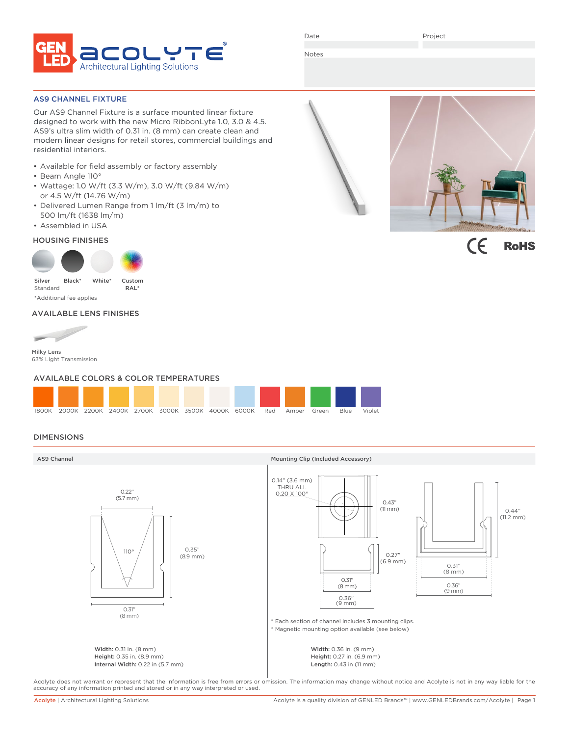

Date

Project

Notes

## AS9 CHANNEL FIXTURE

Our AS9 Channel Fixture is a surface mounted linear fixture designed to work with the new Micro RibbonLyte 1.0, 3.0 & 4.5. AS9's ultra slim width of 0.31 in. (8 mm) can create clean and modern linear designs for retail stores, commercial buildings and residential interiors.

- Available for field assembly or factory assembly
- Beam Angle 110°
- Wattage: 1.0 W/ft (3.3 W/m), 3.0 W/ft (9.84 W/m) or 4.5 W/ft (14.76 W/m)
- Delivered Lumen Range from 1 lm/ft (3 lm/m) to 500 lm/ft (1638 lm/m)
- Assembled in USA

# HOUSING FINISHES



# AVAILABLE LENS FINISHES



63% Light Transmission

## AVAILABLE COLORS & COLOR TEMPERATURES



# DIMENSIONS



Acolyte does not warrant or represent that the information is free from errors or omission. The information may change without notice and Acolyte is not in any way liable for the accuracy of any information printed and stored or in any way interpreted or used.



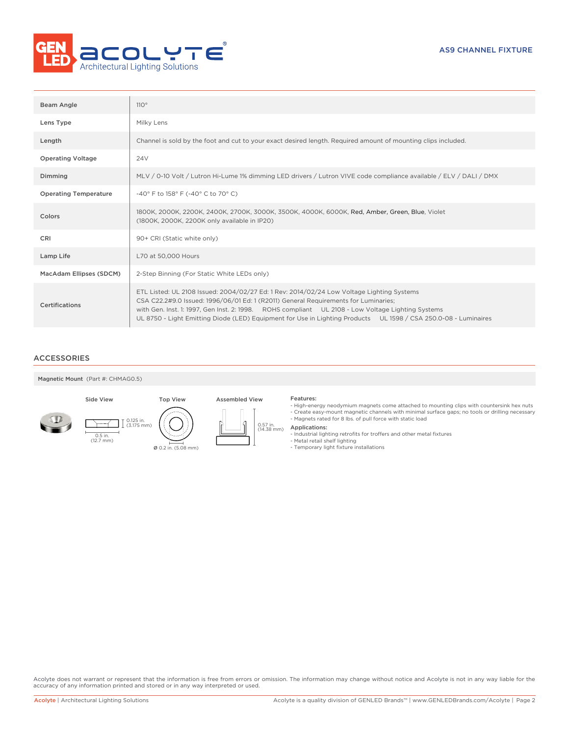

| Beam Angle                   | 110°                                                                                                                                                                                                                                                                                                                                                                                                     |
|------------------------------|----------------------------------------------------------------------------------------------------------------------------------------------------------------------------------------------------------------------------------------------------------------------------------------------------------------------------------------------------------------------------------------------------------|
| Lens Type                    | Milky Lens                                                                                                                                                                                                                                                                                                                                                                                               |
| Length                       | Channel is sold by the foot and cut to your exact desired length. Required amount of mounting clips included.                                                                                                                                                                                                                                                                                            |
| <b>Operating Voltage</b>     | 24 <sub>V</sub>                                                                                                                                                                                                                                                                                                                                                                                          |
| Dimming                      | MLV / 0-10 Volt / Lutron Hi-Lume 1% dimming LED drivers / Lutron VIVE code compliance available / ELV / DALI / DMX                                                                                                                                                                                                                                                                                       |
| <b>Operating Temperature</b> | -40° F to 158° F (-40° C to 70° C)                                                                                                                                                                                                                                                                                                                                                                       |
| Colors                       | 1800K, 2000K, 2200K, 2400K, 2700K, 3000K, 3500K, 4000K, 6000K, Red, Amber, Green, Blue, Violet<br>(1800K, 2000K, 2200K only available in IP20)                                                                                                                                                                                                                                                           |
| <b>CRI</b>                   | 90+ CRI (Static white only)                                                                                                                                                                                                                                                                                                                                                                              |
| Lamp Life                    | L70 at 50,000 Hours                                                                                                                                                                                                                                                                                                                                                                                      |
| MacAdam Ellipses (SDCM)      | 2-Step Binning (For Static White LEDs only)                                                                                                                                                                                                                                                                                                                                                              |
| <b>Certifications</b>        | ETL Listed: UL 2108 Issued: 2004/02/27 Ed: 1 Rev: 2014/02/24 Low Voltage Lighting Systems<br>CSA C22.2#9.0 Issued: 1996/06/01 Ed: 1 (R2011) General Requirements for Luminaries;<br>with Gen. Inst. 1: 1997, Gen Inst. 2: 1998. ROHS compliant UL 2108 - Low Voltage Lighting Systems<br>UL 8750 - Light Emitting Diode (LED) Equipment for Use in Lighting Products UL 1598 / CSA 250.0-08 - Luminaires |

# ACCESSORIES

Magnetic Mount (Part #: CHMAG0.5)

0.5 in. (12.7 mm)





- High-energy neodymium magnets come attached to mounting clips with countersink hex nuts - Create easy-mount magnetic channels with minimal surface gaps; no tools or drilling necessary - Magnets rated for 8 lbs. of pull force with static load

- Applications:
- 
- Industrial lighting retrofits for troffers and other metal fixtures Metal retail shelf lighting Temporary light fixture installations
- 

Acolyte does not warrant or represent that the information is free from errors or omission. The information may change without notice and Acolyte is not in any way liable for the accuracy of any information printed and stored or in any way interpreted or used.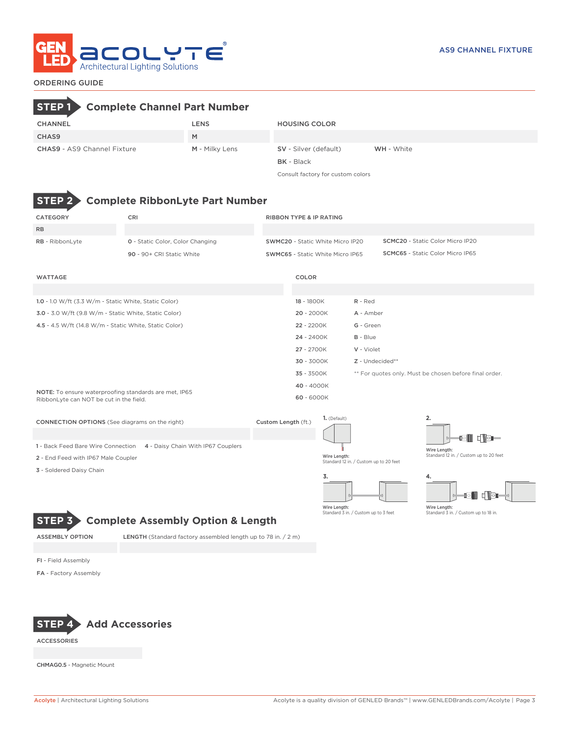

# ORDERING GUIDE

# **STEP 1 Complete Channel Part Number**

| CHANNEL                            | LENS           | <b>HOUSING COLOR</b>  |                   |
|------------------------------------|----------------|-----------------------|-------------------|
| CHAS9                              | M              |                       |                   |
| <b>CHAS9</b> - AS9 Channel Fixture | M - Milky Lens | SV - Silver (default) | <b>WH</b> - White |
|                                    |                | <b>BK</b> - Black     |                   |

Consult factory for custom colors



# **STEP 2 Complete RibbonLyte Part Number**

ASSEMBLY OPTION LENGTH (Standard factory assembled length up to 78 in. / 2 m)

**STEP 3 Complete Assembly Option & Length**

| CATEGORY                                                                                         | CRI                                     |                                  | <b>RIBBON TYPE &amp; IP RATING</b>                                                 |                                                        |                                         |  |  |
|--------------------------------------------------------------------------------------------------|-----------------------------------------|----------------------------------|------------------------------------------------------------------------------------|--------------------------------------------------------|-----------------------------------------|--|--|
| <b>RB</b>                                                                                        |                                         |                                  |                                                                                    |                                                        |                                         |  |  |
| RB - RibbonLyte                                                                                  | <b>0</b> - Static Color, Color Changing | SWMC20 - Static White Micro IP20 |                                                                                    |                                                        | <b>SCMC20</b> - Static Color Micro IP20 |  |  |
|                                                                                                  | 90 - 90+ CRI Static White               |                                  | <b>SCMC65 - Static Color Micro IP65</b><br><b>SWMC65</b> - Static White Micro IP65 |                                                        |                                         |  |  |
|                                                                                                  |                                         |                                  |                                                                                    |                                                        |                                         |  |  |
| <b>WATTAGE</b>                                                                                   |                                         |                                  | COLOR                                                                              |                                                        |                                         |  |  |
|                                                                                                  |                                         |                                  |                                                                                    |                                                        |                                         |  |  |
| 1.0 - 1.0 W/ft (3.3 W/m - Static White, Static Color)                                            |                                         |                                  | 18 - 1800K                                                                         | R - Red                                                |                                         |  |  |
| 3.0 - 3.0 W/ft (9.8 W/m - Static White, Static Color)                                            |                                         |                                  | 20 - 2000K                                                                         | A - Amber                                              |                                         |  |  |
| 4.5 - 4.5 W/ft (14.8 W/m - Static White, Static Color)                                           |                                         |                                  | 22 - 2200K                                                                         | G - Green                                              |                                         |  |  |
|                                                                                                  |                                         |                                  | 24 - 2400K                                                                         | $B - Blue$                                             |                                         |  |  |
|                                                                                                  |                                         |                                  | 27 - 2700K                                                                         | V - Violet                                             |                                         |  |  |
|                                                                                                  |                                         |                                  | 30 - 3000K                                                                         | Z - Undecided**                                        |                                         |  |  |
|                                                                                                  |                                         |                                  | 35 - 3500K                                                                         | ** For quotes only. Must be chosen before final order. |                                         |  |  |
|                                                                                                  |                                         |                                  | 40 - 4000K                                                                         |                                                        |                                         |  |  |
| NOTE: To ensure waterproofing standards are met, IP65<br>RibbonLyte can NOT be cut in the field. |                                         |                                  | 60 - 6000K                                                                         |                                                        |                                         |  |  |
|                                                                                                  |                                         |                                  |                                                                                    |                                                        |                                         |  |  |

| <b>CONNECTION OPTIONS</b> (See diagrams on the right)                 | Custom Length (ft.) | 1. (Default)                                           |                                        |  |  |  |
|-----------------------------------------------------------------------|---------------------|--------------------------------------------------------|----------------------------------------|--|--|--|
|                                                                       |                     |                                                        | d le                                   |  |  |  |
| 1 - Back Feed Bare Wire Connection 4 - Daisy Chain With IP67 Couplers |                     |                                                        | Wire Length:                           |  |  |  |
| 2 - End Feed with IP67 Male Coupler                                   |                     | Wire Length:<br>Standard 12 in. / Custom up to 20 feet | Standard 12 in. / Custom up to 20 feet |  |  |  |
| 3 - Soldered Daisy Chain                                              |                     |                                                        |                                        |  |  |  |
|                                                                       |                     | 5.                                                     |                                        |  |  |  |





Wire Length: Standard 3 in. / Custom up to 3 feet

FI - Field Assembly

FA - Factory Assembly



ACCESSORIES

CHMAG0.5 - Magnetic Mount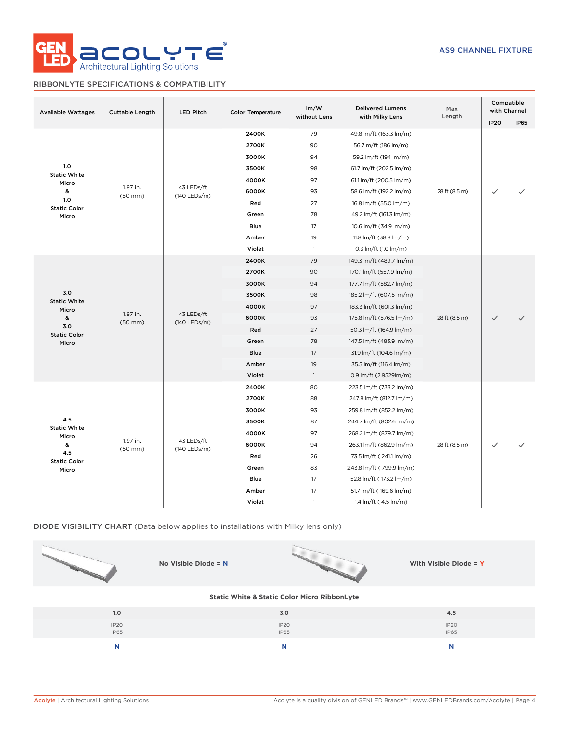

# RIBBONLYTE SPECIFICATIONS & COMPATIBILITY

| <b>Available Wattages</b>    | <b>Cuttable Length</b>   | <b>LED Pitch</b>           | <b>Color Temperature</b> | Im/W<br><b>Delivered Lumens</b><br>without Lens<br>with Milky Lens |                          | Max<br>Length | Compatible<br>with Channel |             |       |       |                          |                          |               |                         |              |
|------------------------------|--------------------------|----------------------------|--------------------------|--------------------------------------------------------------------|--------------------------|---------------|----------------------------|-------------|-------|-------|--------------------------|--------------------------|---------------|-------------------------|--------------|
|                              |                          |                            |                          |                                                                    |                          |               | <b>IP20</b>                | <b>IP65</b> |       |       |                          |                          |               |                         |              |
|                              |                          |                            | 2400K                    | 79                                                                 | 49.8 lm/ft (163.3 lm/m)  |               |                            |             |       |       |                          |                          |               |                         |              |
|                              |                          |                            | 2700K                    | 90                                                                 | 56.7 m/ft (186 lm/m)     |               |                            |             |       |       |                          |                          |               |                         |              |
|                              |                          |                            | 3000K                    | 94                                                                 | 59.2 lm/ft (194 lm/m)    |               |                            |             |       |       |                          |                          |               |                         |              |
| 1.0<br><b>Static White</b>   |                          |                            | 3500K                    | 98                                                                 | 61.7 lm/ft (202.5 lm/m)  |               |                            |             |       |       |                          |                          |               |                         |              |
| Micro                        |                          |                            | 4000K                    | 97                                                                 | 61.1 lm/ft (200.5 lm/m)  |               |                            |             |       |       |                          |                          |               |                         |              |
| &                            | 1.97 in.<br>$(50$ mm $)$ | 43 LEDs/ft<br>(140 LEDs/m) | 6000K                    | 93                                                                 | 58.6 lm/ft (192.2 lm/m)  | 28 ft (8.5 m) | $\checkmark$               |             |       |       |                          |                          |               |                         |              |
| 1.0<br><b>Static Color</b>   |                          |                            | Red                      | 27                                                                 | 16.8 lm/ft (55.0 lm/m)   |               |                            |             |       |       |                          |                          |               |                         |              |
| Micro                        |                          |                            | Green                    | 78                                                                 | 49.2 lm/ft (161.3 lm/m)  |               |                            |             |       |       |                          |                          |               |                         |              |
|                              |                          |                            | <b>Blue</b>              | 17                                                                 | 10.6 lm/ft (34.9 lm/m)   |               |                            |             |       |       |                          |                          |               |                         |              |
|                              |                          |                            | Amber                    | 19                                                                 | 11.8 lm/ft (38.8 lm/m)   |               |                            |             |       |       |                          |                          |               |                         |              |
|                              |                          |                            | Violet                   | $\overline{1}$                                                     | 0.3 lm/ft (1.0 lm/m)     |               |                            |             |       |       |                          |                          |               |                         |              |
|                              |                          |                            | 2400K                    | 79                                                                 | 149.3 lm/ft (489.7 lm/m) |               |                            |             |       |       |                          |                          |               |                         |              |
|                              |                          |                            | 2700K                    | 90                                                                 | 170.1 lm/ft (557.9 lm/m) |               |                            |             |       |       |                          |                          |               |                         |              |
|                              | 1.97 in.<br>$(50$ mm $)$ | 43 LEDs/ft<br>(140 LEDs/m) | 3000K                    | 94                                                                 | 177.7 lm/ft (582.7 lm/m) |               |                            |             |       |       |                          |                          |               |                         |              |
| 3.0                          |                          |                            | 3500K                    | 98                                                                 | 185.2 lm/ft (607.5 lm/m) |               |                            |             |       |       |                          |                          |               |                         |              |
| <b>Static White</b><br>Micro |                          |                            |                          |                                                                    |                          |               |                            |             | 4000K | 97    | 183.3 lm/ft (601.3 lm/m) |                          |               |                         |              |
| &                            |                          |                            |                          |                                                                    |                          |               |                            |             |       | 6000K | 93                       | 175.8 lm/ft (576.5 lm/m) | 28 ft (8.5 m) | $\checkmark$            | $\checkmark$ |
| 3.0<br><b>Static Color</b>   |                          |                            |                          |                                                                    |                          |               |                            |             |       |       |                          | Red                      | 27            | 50.3 lm/ft (164.9 lm/m) |              |
| Micro                        |                          |                            | Green                    | 78                                                                 | 147.5 lm/ft (483.9 lm/m) |               |                            |             |       |       |                          |                          |               |                         |              |
|                              |                          |                            | Blue                     | 17                                                                 | 31.9 lm/ft (104.6 lm/m)  |               |                            |             |       |       |                          |                          |               |                         |              |
|                              |                          |                            | Amber                    | 19                                                                 | 35.5 lm/ft (116.4 lm/m)  |               |                            |             |       |       |                          |                          |               |                         |              |
|                              |                          |                            | Violet                   | $\overline{1}$                                                     | 0.9 lm/ft (2.9529lm/m)   |               |                            |             |       |       |                          |                          |               |                         |              |
|                              |                          |                            | 2400K                    | 80                                                                 | 223.5 lm/ft (733.2 lm/m) |               |                            |             |       |       |                          |                          |               |                         |              |
|                              |                          |                            | 2700K                    | 88                                                                 | 247.8 lm/ft (812.7 lm/m) |               |                            |             |       |       |                          |                          |               |                         |              |
|                              |                          |                            | 3000K                    | 93                                                                 | 259.8 lm/ft (852.2 lm/m) |               |                            |             |       |       |                          |                          |               |                         |              |
| 4.5                          |                          |                            | 3500K                    | 87                                                                 | 244.7 lm/ft (802.6 lm/m) |               |                            |             |       |       |                          |                          |               |                         |              |
| <b>Static White</b><br>Micro |                          |                            | 4000K                    | 97                                                                 | 268.2 lm/ft (879.7 lm/m) |               |                            |             |       |       |                          |                          |               |                         |              |
| &                            | 1.97 in.<br>$(50$ mm $)$ | 43 LEDs/ft<br>(140 LEDs/m) | 6000K                    | 94                                                                 | 263.1 lm/ft (862.9 lm/m) | 28 ft (8.5 m) | $\checkmark$               |             |       |       |                          |                          |               |                         |              |
| 4.5<br><b>Static Color</b>   |                          |                            | Red                      | 26                                                                 | 73.5 lm/ft (241.1 lm/m)  |               |                            |             |       |       |                          |                          |               |                         |              |
| Micro                        |                          |                            | Green                    | 83                                                                 | 243.8 lm/ft (799.9 lm/m) |               |                            |             |       |       |                          |                          |               |                         |              |
|                              |                          |                            | Blue                     | 17                                                                 | 52.8 lm/ft (173.2 lm/m)  |               |                            |             |       |       |                          |                          |               |                         |              |
|                              |                          |                            | Amber                    | 17                                                                 | 51.7 lm/ft (169.6 lm/m)  |               |                            |             |       |       |                          |                          |               |                         |              |
|                              |                          |                            | Violet                   | $\mathbf{1}$                                                       | 1.4 lm/ft (4.5 lm/m)     |               |                            |             |       |       |                          |                          |               |                         |              |

# DIODE VISIBILITY CHART (Data below applies to installations with Milky lens only)

| No Visible Diode = $N$                                  |                          | With Visible Diode = Y   |  |  |  |  |  |  |  |  |
|---------------------------------------------------------|--------------------------|--------------------------|--|--|--|--|--|--|--|--|
| <b>Static White &amp; Static Color Micro RibbonLyte</b> |                          |                          |  |  |  |  |  |  |  |  |
| 1.0                                                     | 3.0                      | 4.5                      |  |  |  |  |  |  |  |  |
| IP <sub>20</sub><br>IP65                                | IP <sub>20</sub><br>IP65 | IP <sub>20</sub><br>IP65 |  |  |  |  |  |  |  |  |

**N N N**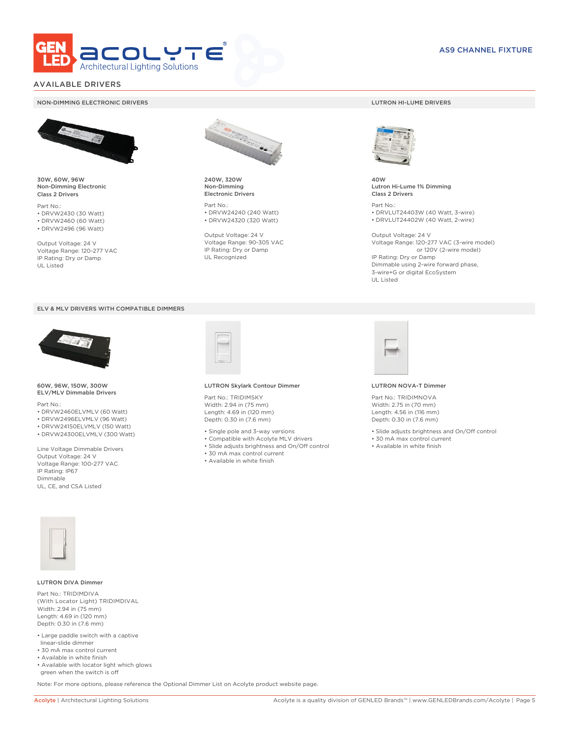

# AVAILABLE DRIVERS

### NON-DIMMING ELECTRONIC DRIVERS LUTRON HI-LUME DRIVERS



30W, 60W, 96W Non-Dimming Electronic Class 2 Drivers

Part No.: • DRVW2430 (30 Watt) • DRVW2460 (60 Watt)

• DRVW2496 (96 Watt)

Output Voltage: 24 V Voltage Range: 120-277 VAC IP Rating: Dry or Damp UL Listed





60W, 96W, 150W, 300W ELV/MLV Dimmable Drivers

Part No.:

- DRVW2460ELVMLV (60 Watt)
- DRVW2496ELVMLV (96 Watt)
- DRVW24150ELVMLV (150 Watt) • DRVW24300ELVMLV (300 Watt)
- 

Line Voltage Dimmable Drivers Output Voltage: 24 V Voltage Range: 100-277 VAC IP Rating: IP67 Dimmable UL, CE, and CSA Listed



240W, 320W Non-Dimming Electronic Drivers

Part No.: • DRVW24240 (240 Watt) • DRVW24320 (320 Watt)

Output Voltage: 24 V Voltage Range: 90-305 VAC IP Rating: Dry or Damp UL Recognized



40W Lutron Hi-Lume 1% Dimming Class 2 Drivers

Part No.: • DRVLUT24403W (40 Watt, 3-wire) • DRVLUT24402W (40 Watt, 2-wire)

Output Voltage: 24 V Voltage Range: 120-277 VAC (3-wire model) or 120V (2-wire model) IP Rating: Dry or Damp Dimmable using 2-wire forward phase, 3-wire+G or digital EcoSystem UL Listed



### LUTRON Skylark Contour Dimmer

Part No.: TRIDIMSKY Width: 2.94 in (75 mm) Length: 4.69 in (120 mm) Depth: 0.30 in (7.6 mm)

- Single pole and 3-way versions
- Compatible with Acolyte MLV drivers
- Slide adjusts brightness and On/Off control
- 30 mA max control current
- Available in white finish



### LUTRON NOVA-T Dimmer

Part No.: TRIDIMNOVA Width: 2.75 in (70 mm) Length: 4.56 in (116 mm) Depth: 0.30 in (7.6 mm)

- Slide adjusts brightness and On/Off control
- 30 mA max control current
- Available in white finish



### LUTRON DIVA Dimmer

Part No.: TRIDIMDIVA (With Locator Light) TRIDIMDIVAL Width: 2.94 in (75 mm) Length: 4.69 in (120 mm) Depth: 0.30 in (7.6 mm)

- Large paddle switch with a captive linear-slide dimmer
- 30 mA max control current
- Available in white finish
- Available with locator light which glows green when the switch is off

Note: For more options, please reference the Optional Dimmer List on Acolyte product website page.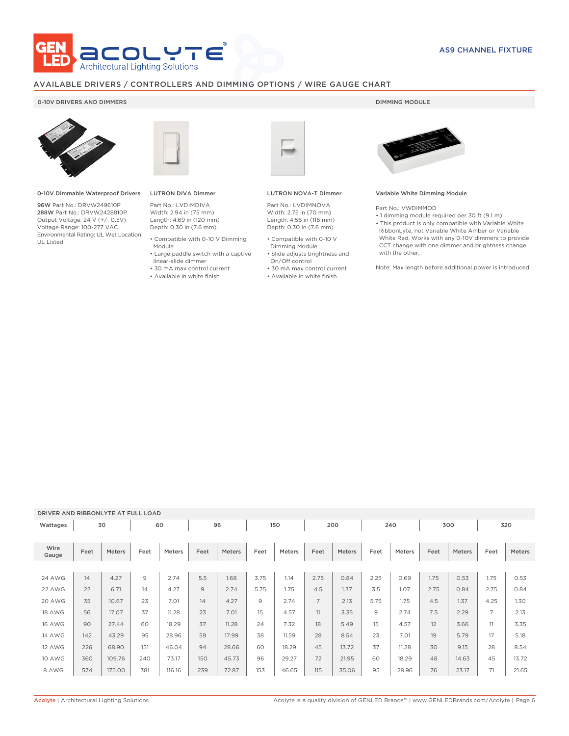

# AVAILABLE DRIVERS / CONTROLLERS AND DIMMING OPTIONS / WIRE GAUGE CHART

# 0-10V DRIVERS AND DIMMERS **DIMMING MODULE**



0-10V Dimmable Waterproof Drivers

96W Part No.: DRVW249610P 288W Part No.: DRVW2428810P Output Voltage: 24 V (+/- 0.5V) Voltage Range: 100-277 VAC Environmental Rating: UL Wet Location UL Listed



# LUTRON DIVA Dimmer

Part No.: LVDIMDIVA Width: 2.94 in (75 mm) Length: 4.69 in (120 mm) Depth: 0.30 in (7.6 mm)

- Compatible with 0-10 V Dimming Module
- Large paddle switch with a captive
- linear-slide dimmer • 30 mA max control current
- Available in white finish

LUTRON NOVA-T Dimmer

Part No.: LVDIMNOVA Width: 2.75 in (70 mm) Length: 4.56 in (116 mm) Depth: 0.30 in (7.6 mm)

- Compatible with 0-10 V Dimming Module
- Slide adjusts brightness and On/Off control
- 30 mA max control current
- Available in white finish



### Variable White Dimming Module

Part No.: VWDIMMOD

• 1 dimming module required per 30 ft (9.1 m) • This product is only compatible with Variable White RibbonLyte, not Variable White Amber or Variable White Red. Works with any 0-10V dimmers to provide CCT change with one dimmer and brightness change with the other.

Note: Max length before additional power is introduced

# DRIVER AND RIBBONLYTE AT FULL LOAD

| Wattages      |      | 30     |      | 60     |      | 96     | 150  |        | 200            |        | 240  |        | 300  |        | 320            |        |
|---------------|------|--------|------|--------|------|--------|------|--------|----------------|--------|------|--------|------|--------|----------------|--------|
| Wire<br>Gauge | Feet | Meters | Feet | Meters | Feet | Meters | Feet | Meters | Feet           | Meters | Feet | Meters | Feet | Meters | Feet           | Meters |
|               |      |        |      |        |      |        |      |        |                |        |      |        |      |        |                |        |
| <b>24 AWG</b> | 14   | 4.27   | 9    | 2.74   | 5.5  | 1.68   | 3.75 | 1.14   | 2.75           | 0.84   | 2.25 | 0.69   | 1.75 | 0.53   | 1.75           | 0.53   |
| 22 AWG        | 22   | 6.71   | 14   | 4.27   | 9    | 2.74   | 5.75 | 1.75   | 4.5            | 1.37   | 3.5  | 1.07   | 2.75 | 0.84   | 2.75           | 0.84   |
| 20 AWG        | 35   | 10.67  | 23   | 7.01   | 14   | 4.27   | 9    | 2.74   | $\overline{7}$ | 2.13   | 5.75 | 1.75   | 4.5  | 1.37   | 4.25           | 1.30   |
| 18 AWG        | 56   | 17.07  | 37   | 11.28  | 23   | 7.01   | 15   | 4.57   | 11             | 3.35   | 9    | 2.74   | 7.5  | 2.29   | $\overline{7}$ | 2.13   |
| <b>16 AWG</b> | 90   | 27.44  | 60   | 18.29  | 37   | 11.28  | 24   | 7.32   | 18             | 5.49   | 15   | 4.57   | 12   | 3.66   | 11             | 3.35   |
| <b>14 AWG</b> | 142  | 43.29  | 95   | 28.96  | 59   | 17.99  | 38   | 11.59  | 28             | 8.54   | 23   | 7.01   | 19   | 5.79   | 17             | 5.18   |
| 12 AWG        | 226  | 68.90  | 151  | 46.04  | 94   | 28.66  | 60   | 18.29  | 45             | 13.72  | 37   | 11.28  | 30   | 9.15   | 28             | 8.54   |
| 10 AWG        | 360  | 109.76 | 240  | 73.17  | 150  | 45.73  | 96   | 29.27  | 72             | 21.95  | 60   | 18.29  | 48   | 14.63  | 45             | 13.72  |
| 8 AWG         | 574  | 175.00 | 381  | 116.16 | 239  | 72.87  | 153  | 46.65  | 115            | 35.06  | 95   | 28.96  | 76   | 23.17  | 71             | 21.65  |